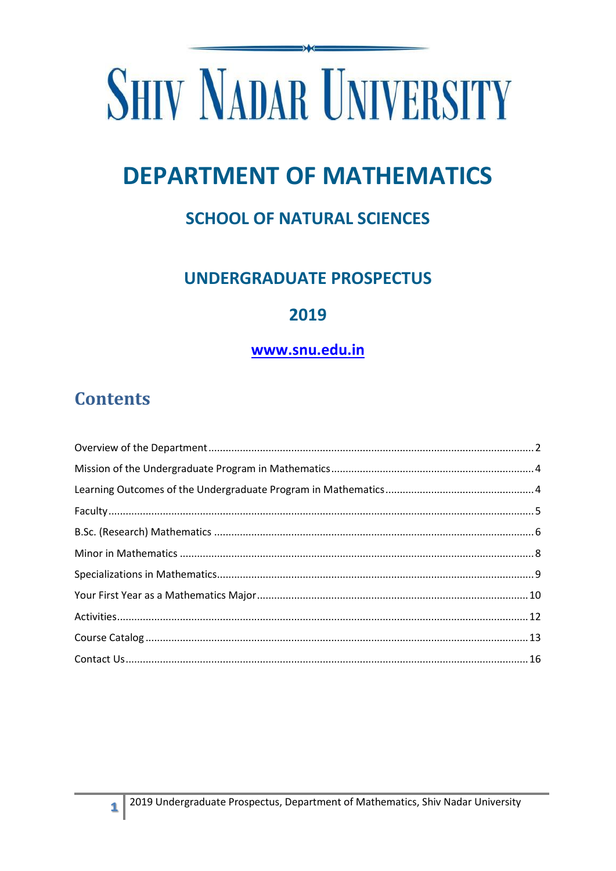# **SHIV NADAR UNIVERSITY**

## **DEPARTMENT OF MATHEMATICS**

## **SCHOOL OF NATURAL SCIENCES**

## **UNDERGRADUATE PROSPECTUS**

### 2019

#### www.snu.edu.in

## **Contents**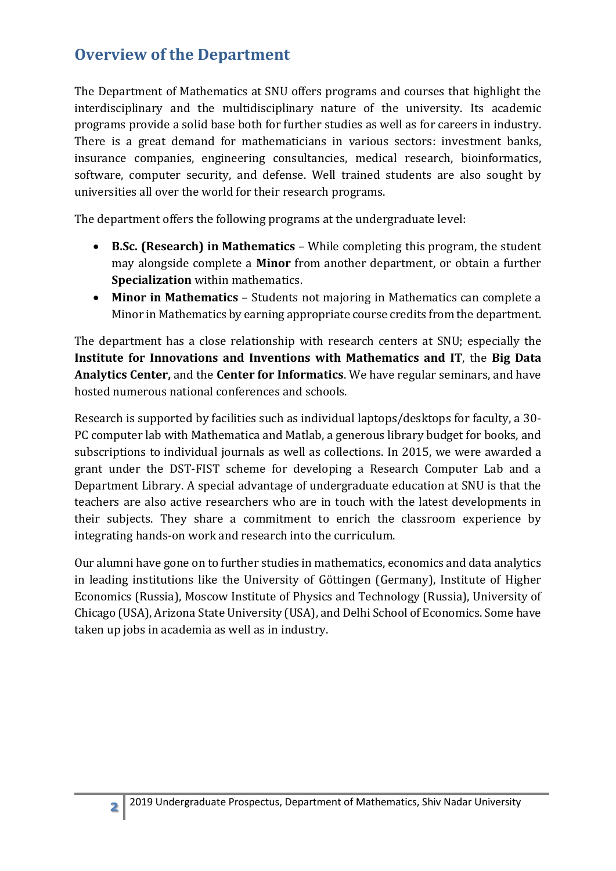## <span id="page-1-0"></span>**Overview of the Department**

The Department of Mathematics at SNU offers programs and courses that highlight the interdisciplinary and the multidisciplinary nature of the university. Its academic programs provide a solid base both for further studies as well as for careers in industry. There is a great demand for mathematicians in various sectors: investment banks, insurance companies, engineering consultancies, medical research, bioinformatics, software, computer security, and defense. Well trained students are also sought by universities all over the world for their research programs.

The department offers the following programs at the undergraduate level:

- **B.Sc. (Research) in Mathematics** While completing this program, the student may alongside complete a **Minor** from another department, or obtain a further **Specialization** within mathematics.
- **Minor in Mathematics**  Students not majoring in Mathematics can complete a Minor in Mathematics by earning appropriate course credits from the department.

The department has a close relationship with research centers at SNU; especially the **Institute for Innovations and Inventions with Mathematics and IT**, the **Big Data Analytics Center,** and the **Center for Informatics**. We have regular seminars, and have hosted numerous national conferences and schools.

Research is supported by facilities such as individual laptops/desktops for faculty, a 30- PC computer lab with Mathematica and Matlab, a generous library budget for books, and subscriptions to individual journals as well as collections. In 2015, we were awarded a grant under the DST-FIST scheme for developing a Research Computer Lab and a Department Library. A special advantage of undergraduate education at SNU is that the teachers are also active researchers who are in touch with the latest developments in their subjects. They share a commitment to enrich the classroom experience by integrating hands-on work and research into the curriculum.

Our alumni have gone on to further studies in mathematics, economics and data analytics in leading institutions like the University of Göttingen (Germany), Institute of Higher Economics (Russia), Moscow Institute of Physics and Technology (Russia), University of Chicago (USA), Arizona State University (USA), and Delhi School of Economics. Some have taken up jobs in academia as well as in industry.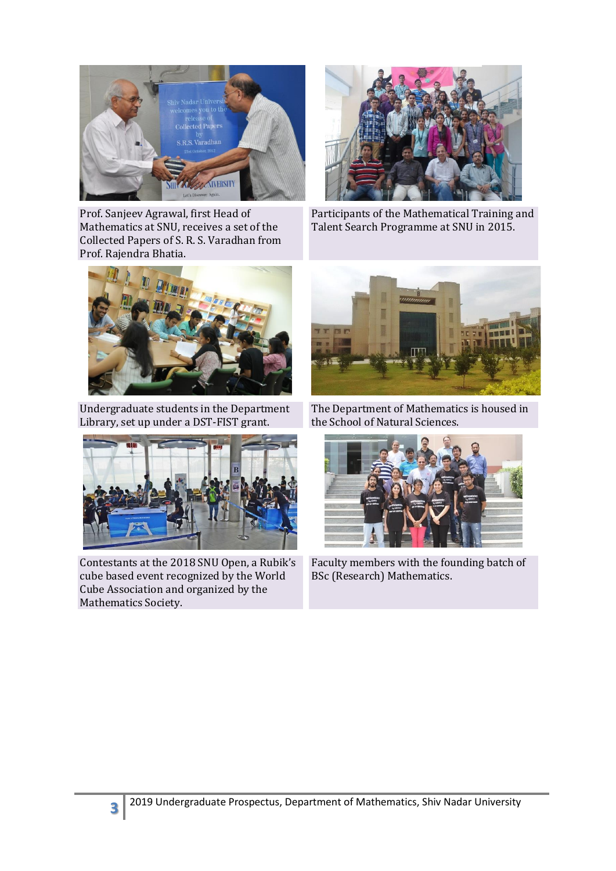

Prof. Sanjeev Agrawal, first Head of Mathematics at SNU, receives a set of the Collected Papers of S. R. S. Varadhan from Prof. Rajendra Bhatia.



Participants of the Mathematical Training and Talent Search Programme at SNU in 2015.



Undergraduate students in the Department Library, set up under a DST-FIST grant.



Contestants at the 2018 SNU Open, a Rubik's cube based event recognized by the World Cube Association and organized by the Mathematics Society.



The Department of Mathematics is housed in the School of Natural Sciences.



Faculty members with the founding batch of BSc (Research) Mathematics.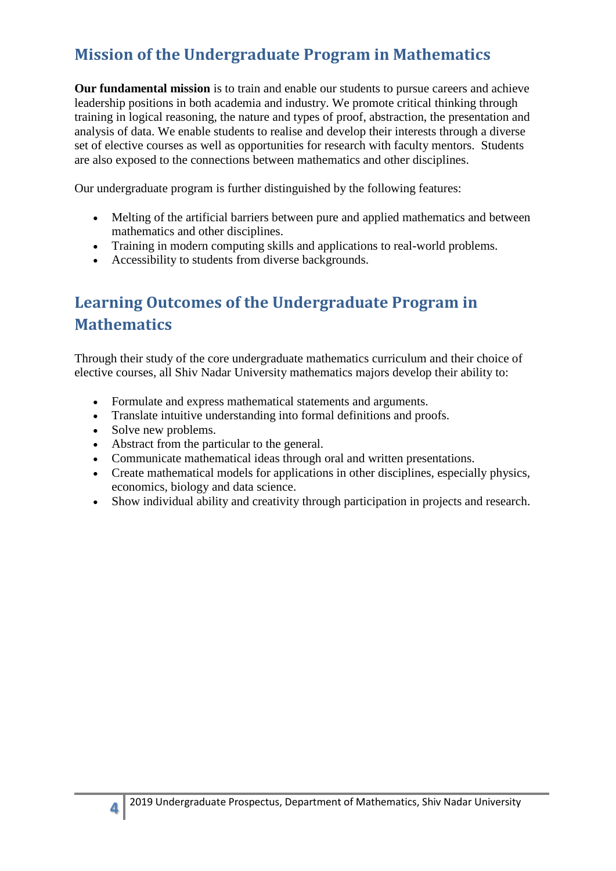## <span id="page-3-0"></span>**Mission of the Undergraduate Program in Mathematics**

**Our fundamental mission** is to train and enable our students to pursue careers and achieve leadership positions in both academia and industry. We promote critical thinking through training in logical reasoning, the nature and types of proof, abstraction, the presentation and analysis of data. We enable students to realise and develop their interests through a diverse set of elective courses as well as opportunities for research with faculty mentors. Students are also exposed to the connections between mathematics and other disciplines.

Our undergraduate program is further distinguished by the following features:

- Melting of the artificial barriers between pure and applied mathematics and between mathematics and other disciplines.
- Training in modern computing skills and applications to real-world problems.
- Accessibility to students from diverse backgrounds.

## <span id="page-3-1"></span>**Learning Outcomes of the Undergraduate Program in Mathematics**

Through their study of the core undergraduate mathematics curriculum and their choice of elective courses, all Shiv Nadar University mathematics majors develop their ability to:

- Formulate and express mathematical statements and arguments.
- Translate intuitive understanding into formal definitions and proofs.
- Solve new problems.
- Abstract from the particular to the general.
- Communicate mathematical ideas through oral and written presentations.
- Create mathematical models for applications in other disciplines, especially physics, economics, biology and data science.
- Show individual ability and creativity through participation in projects and research.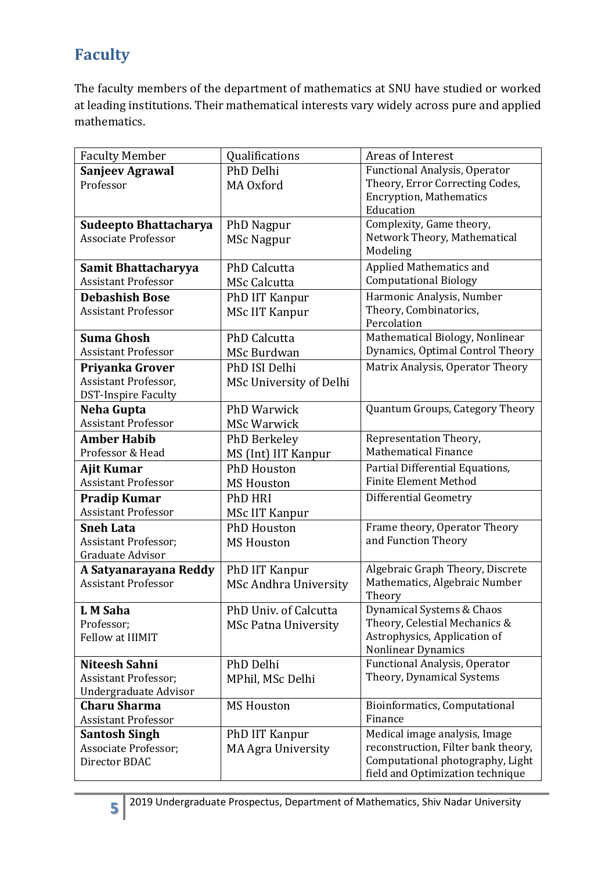## <span id="page-4-0"></span>**Faculty**

The faculty members of the department of mathematics at SNU have studied or worked at leading institutions. Their mathematical interests vary widely across pure and applied mathematics.

| Qualifications<br><b>Faculty Member</b><br>Areas of Interest                      |                                                                      |
|-----------------------------------------------------------------------------------|----------------------------------------------------------------------|
| PhD Delhi<br><b>Sanjeev Agrawal</b>                                               | <b>Functional Analysis, Operator</b>                                 |
| Professor<br>MA Oxford                                                            | Theory, Error Correcting Codes,                                      |
| <b>Encryption, Mathematics</b>                                                    |                                                                      |
| Education                                                                         |                                                                      |
| Sudeepto Bhattacharya<br><b>PhD Nagpur</b>                                        | Complexity, Game theory,                                             |
| Associate Professor<br>MSc Nagpur                                                 | Network Theory, Mathematical                                         |
| Modeling                                                                          |                                                                      |
| <b>PhD Calcutta</b><br>Samit Bhattacharyya                                        | Applied Mathematics and                                              |
| <b>Computational Biology</b><br><b>Assistant Professor</b><br><b>MSc Calcutta</b> |                                                                      |
| <b>Debashish Bose</b><br>PhD IIT Kanpur                                           | Harmonic Analysis, Number                                            |
| Theory, Combinatorics,<br><b>Assistant Professor</b><br><b>MSc IIT Kanpur</b>     |                                                                      |
| Percolation                                                                       |                                                                      |
| <b>Suma Ghosh</b><br><b>PhD Calcutta</b>                                          | Mathematical Biology, Nonlinear                                      |
| <b>Assistant Professor</b><br>MSc Burdwan                                         | Dynamics, Optimal Control Theory                                     |
| PhD ISI Delhi<br>Priyanka Grover                                                  | Matrix Analysis, Operator Theory                                     |
| Assistant Professor,<br>MSc University of Delhi                                   |                                                                      |
| <b>DST-Inspire Faculty</b>                                                        |                                                                      |
| <b>PhD Warwick</b><br>Neha Gupta                                                  | Quantum Groups, Category Theory                                      |
| <b>Assistant Professor</b><br><b>MSc Warwick</b>                                  |                                                                      |
| Representation Theory,<br>Amber Habib<br>PhD Berkeley                             |                                                                      |
| <b>Mathematical Finance</b><br>Professor & Head<br>MS (Int) IIT Kanpur            |                                                                      |
| <b>PhD Houston</b><br>Ajit Kumar                                                  | Partial Differential Equations,                                      |
| <b>Finite Element Method</b><br><b>Assistant Professor</b><br><b>MS Houston</b>   |                                                                      |
| Differential Geometry<br><b>Pradip Kumar</b><br>PhD HRI                           |                                                                      |
| <b>Assistant Professor</b><br>MSc IIT Kanpur                                      |                                                                      |
| <b>PhD Houston</b><br><b>Sneh Lata</b>                                            | Frame theory, Operator Theory                                        |
| and Function Theory<br><b>Assistant Professor;</b><br><b>MS Houston</b>           |                                                                      |
| Graduate Advisor                                                                  |                                                                      |
| A Satyanarayana Reddy<br>PhD IIT Kanpur                                           | Algebraic Graph Theory, Discrete                                     |
| <b>Assistant Professor</b><br><b>MSc Andhra University</b>                        | Mathematics, Algebraic Number                                        |
| Theory                                                                            |                                                                      |
| PhD Univ. of Calcutta<br>L M Saha                                                 | Dynamical Systems & Chaos                                            |
| Professor;<br><b>MSc Patna University</b>                                         | Theory, Celestial Mechanics &                                        |
| Fellow at IIIMIT                                                                  | Astrophysics, Application of                                         |
| <b>Nonlinear Dynamics</b>                                                         |                                                                      |
| PhD Delhi<br>Niteesh Sahni                                                        | <b>Functional Analysis, Operator</b>                                 |
| <b>Assistant Professor;</b><br>MPhil, MSc Delhi                                   | Theory, Dynamical Systems                                            |
| <b>Undergraduate Advisor</b>                                                      |                                                                      |
| <b>Charu Sharma</b><br><b>MS Houston</b>                                          | Bioinformatics, Computational                                        |
| Finance<br><b>Assistant Professor</b>                                             |                                                                      |
| <b>Santosh Singh</b><br>PhD IIT Kanpur                                            | Medical image analysis, Image                                        |
| Associate Professor;<br><b>MA Agra University</b>                                 | reconstruction, Filter bank theory,                                  |
| Director BDAC                                                                     | Computational photography, Light<br>field and Optimization technique |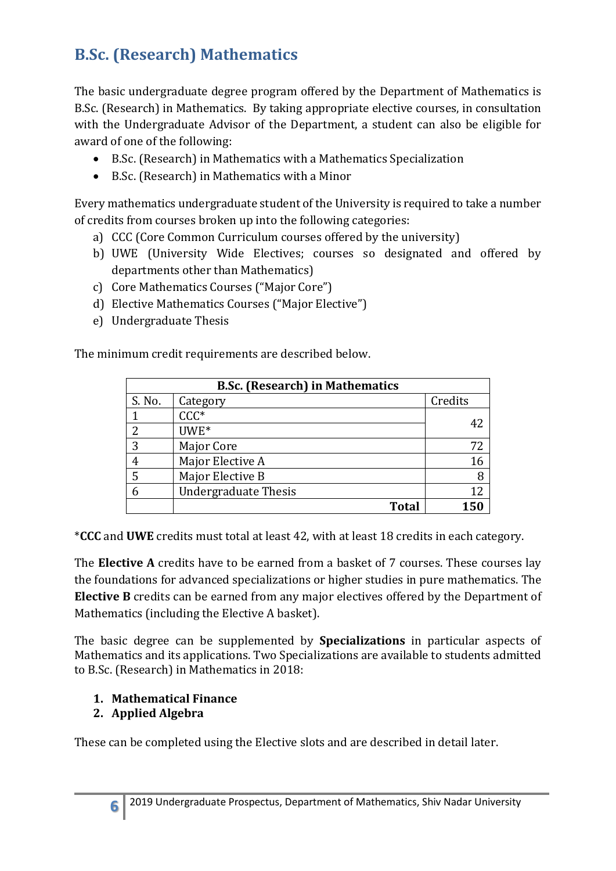## <span id="page-5-0"></span>**B.Sc. (Research) Mathematics**

The basic undergraduate degree program offered by the Department of Mathematics is B.Sc. (Research) in Mathematics. By taking appropriate elective courses, in consultation with the Undergraduate Advisor of the Department, a student can also be eligible for award of one of the following:

- B.Sc. (Research) in Mathematics with a Mathematics Specialization
- B.Sc. (Research) in Mathematics with a Minor

Every mathematics undergraduate student of the University is required to take a number of credits from courses broken up into the following categories:

- a) CCC (Core Common Curriculum courses offered by the university)
- b) UWE (University Wide Electives; courses so designated and offered by departments other than Mathematics)
- c) Core Mathematics Courses ("Major Core")
- d) Elective Mathematics Courses ("Major Elective")
- e) Undergraduate Thesis

The minimum credit requirements are described below.

| <b>B.Sc. (Research) in Mathematics</b> |                             |         |  |  |  |
|----------------------------------------|-----------------------------|---------|--|--|--|
| S. No.                                 | Category                    | Credits |  |  |  |
|                                        | $CCC*$                      |         |  |  |  |
| 2                                      | UWE*                        | 42      |  |  |  |
| 3                                      | Major Core                  | 72      |  |  |  |
| 4                                      | Major Elective A            | 16      |  |  |  |
| 5                                      | Major Elective B            | 8       |  |  |  |
| 6                                      | <b>Undergraduate Thesis</b> | 12      |  |  |  |
|                                        | <b>Total</b>                | 150     |  |  |  |

\***CCC** and **UWE** credits must total at least 42, with at least 18 credits in each category.

The **Elective A** credits have to be earned from a basket of 7 courses. These courses lay the foundations for advanced specializations or higher studies in pure mathematics. The **Elective B** credits can be earned from any major electives offered by the Department of Mathematics (including the Elective A basket).

The basic degree can be supplemented by **Specializations** in particular aspects of Mathematics and its applications. Two Specializations are available to students admitted to B.Sc. (Research) in Mathematics in 2018:

#### **1. Mathematical Finance**

#### **2. Applied Algebra**

These can be completed using the Elective slots and are described in detail later.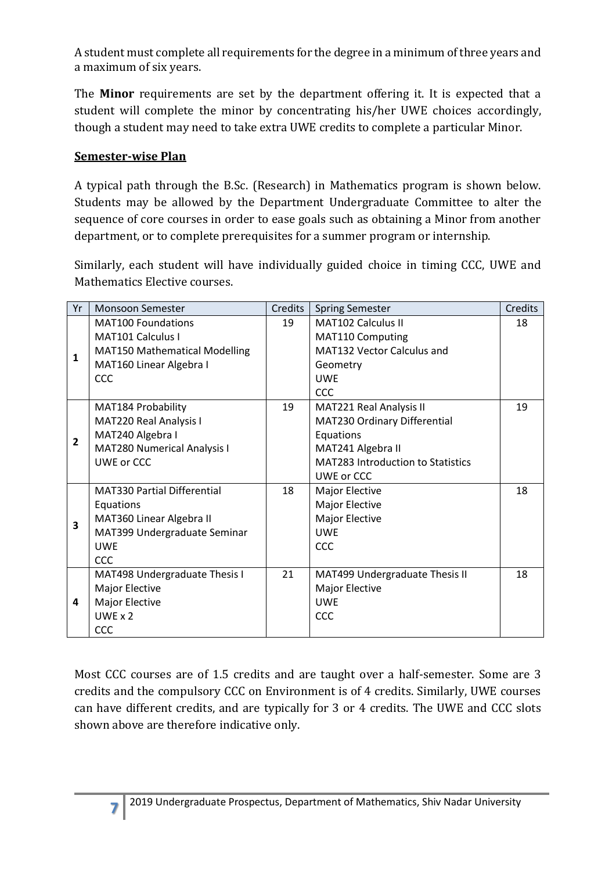A student must complete all requirements for the degree in a minimum of three years and a maximum of six years.

The **Minor** requirements are set by the department offering it. It is expected that a student will complete the minor by concentrating his/her UWE choices accordingly, though a student may need to take extra UWE credits to complete a particular Minor.

#### **Semester-wise Plan**

A typical path through the B.Sc. (Research) in Mathematics program is shown below. Students may be allowed by the Department Undergraduate Committee to alter the sequence of core courses in order to ease goals such as obtaining a Minor from another department, or to complete prerequisites for a summer program or internship.

Similarly, each student will have individually guided choice in timing CCC, UWE and Mathematics Elective courses.

| Yr             | <b>Monsoon Semester</b>              | Credits | <b>Spring Semester</b>                   | Credits |
|----------------|--------------------------------------|---------|------------------------------------------|---------|
| 1              | <b>MAT100 Foundations</b>            | 19      | <b>MAT102 Calculus II</b>                | 18      |
|                | MAT <sub>101</sub> Calculus I        |         | MAT110 Computing                         |         |
|                | <b>MAT150 Mathematical Modelling</b> |         | MAT132 Vector Calculus and               |         |
|                | MAT160 Linear Algebra I              |         | Geometry                                 |         |
|                | CCC                                  |         | <b>UWE</b>                               |         |
|                |                                      |         | CCC                                      |         |
| $\overline{2}$ | MAT184 Probability                   | 19      | MAT221 Real Analysis II                  | 19      |
|                | MAT220 Real Analysis I               |         | MAT230 Ordinary Differential             |         |
|                | MAT240 Algebra I                     |         | Equations                                |         |
|                | MAT280 Numerical Analysis I          |         | MAT241 Algebra II                        |         |
|                | UWE or CCC                           |         | <b>MAT283 Introduction to Statistics</b> |         |
|                |                                      |         | UWE or CCC                               |         |
|                | <b>MAT330 Partial Differential</b>   | 18      | Major Elective                           | 18      |
|                | Equations                            |         | Major Elective                           |         |
| 3              | MAT360 Linear Algebra II             |         | Major Elective                           |         |
|                | MAT399 Undergraduate Seminar         |         | <b>UWF</b>                               |         |
|                | <b>UWF</b>                           |         | CCC                                      |         |
|                | <b>CCC</b>                           |         |                                          |         |
| 4              | MAT498 Undergraduate Thesis I        | 21      | MAT499 Undergraduate Thesis II           | 18      |
|                | Major Elective                       |         | Major Elective                           |         |
|                | <b>Major Elective</b>                |         | <b>UWE</b>                               |         |
|                | $UWF \times 2$                       |         | CCC                                      |         |
|                | <b>CCC</b>                           |         |                                          |         |

Most CCC courses are of 1.5 credits and are taught over a half-semester. Some are 3 credits and the compulsory CCC on Environment is of 4 credits. Similarly, UWE courses can have different credits, and are typically for 3 or 4 credits. The UWE and CCC slots shown above are therefore indicative only.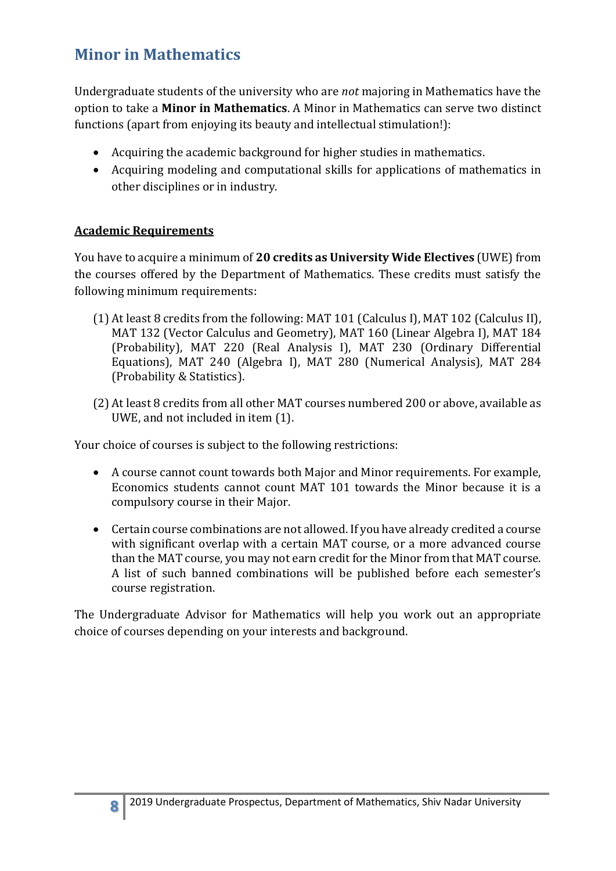## <span id="page-7-0"></span>**Minor in Mathematics**

Undergraduate students of the university who are *not* majoring in Mathematics have the option to take a **Minor in Mathematics**. A Minor in Mathematics can serve two distinct functions (apart from enjoying its beauty and intellectual stimulation!):

- Acquiring the academic background for higher studies in mathematics.
- Acquiring modeling and computational skills for applications of mathematics in other disciplines or in industry.

#### **Academic Requirements**

You have to acquire a minimum of **20 credits as University Wide Electives** (UWE) from the courses offered by the Department of Mathematics. These credits must satisfy the following minimum requirements:

- (1) At least 8 credits from the following: MAT 101 (Calculus I), MAT 102 (Calculus II), MAT 132 (Vector Calculus and Geometry), MAT 160 (Linear Algebra I), MAT 184 (Probability), MAT 220 (Real Analysis I), MAT 230 (Ordinary Differential Equations), MAT 240 (Algebra I), MAT 280 (Numerical Analysis), MAT 284 (Probability & Statistics).
- (2) At least 8 credits from all other MAT courses numbered 200 or above, available as UWE, and not included in item (1).

Your choice of courses is subject to the following restrictions:

- A course cannot count towards both Major and Minor requirements. For example, Economics students cannot count MAT 101 towards the Minor because it is a compulsory course in their Major.
- Certain course combinations are not allowed. If you have already credited a course with significant overlap with a certain MAT course, or a more advanced course than the MAT course, you may not earn credit for the Minor from that MAT course. A list of such banned combinations will be published before each semester's course registration.

The Undergraduate Advisor for Mathematics will help you work out an appropriate choice of courses depending on your interests and background.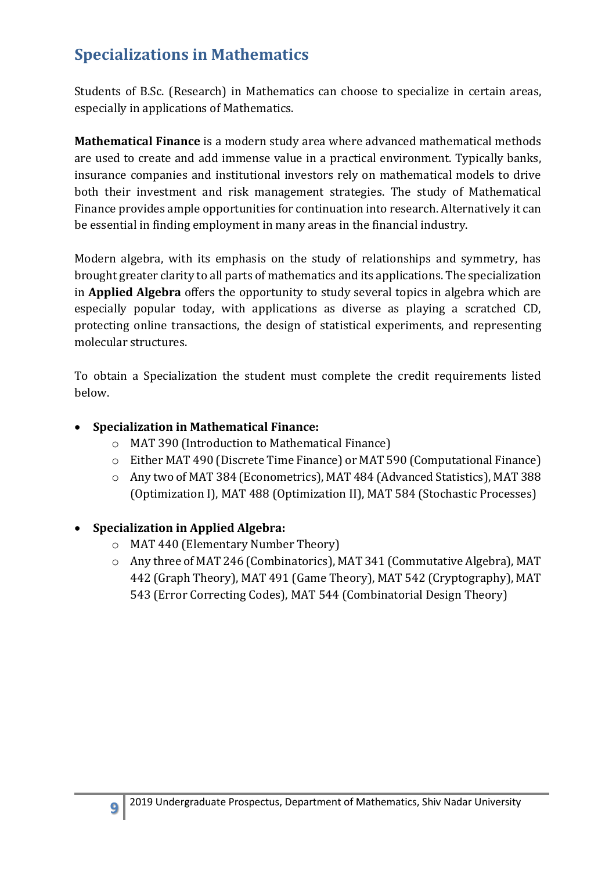## <span id="page-8-0"></span>**Specializations in Mathematics**

Students of B.Sc. (Research) in Mathematics can choose to specialize in certain areas, especially in applications of Mathematics.

**Mathematical Finance** is a modern study area where advanced mathematical methods are used to create and add immense value in a practical environment. Typically banks, insurance companies and institutional investors rely on mathematical models to drive both their investment and risk management strategies. The study of Mathematical Finance provides ample opportunities for continuation into research. Alternatively it can be essential in finding employment in many areas in the financial industry.

Modern algebra, with its emphasis on the study of relationships and symmetry, has brought greater clarity to all parts of mathematics and its applications. The specialization in **Applied Algebra** offers the opportunity to study several topics in algebra which are especially popular today, with applications as diverse as playing a scratched CD, protecting online transactions, the design of statistical experiments, and representing molecular structures.

To obtain a Specialization the student must complete the credit requirements listed below.

#### **Specialization in Mathematical Finance:**

- o MAT 390 (Introduction to Mathematical Finance)
- o Either MAT 490 (Discrete Time Finance) or MAT 590 (Computational Finance)
- o Any two of MAT 384 (Econometrics), MAT 484 (Advanced Statistics), MAT 388 (Optimization I), MAT 488 (Optimization II), MAT 584 (Stochastic Processes)

#### **Specialization in Applied Algebra:**

- o MAT 440 (Elementary Number Theory)
- o Any three of MAT 246 (Combinatorics), MAT 341 (Commutative Algebra), MAT 442 (Graph Theory), MAT 491 (Game Theory), MAT 542 (Cryptography), MAT 543 (Error Correcting Codes), MAT 544 (Combinatorial Design Theory)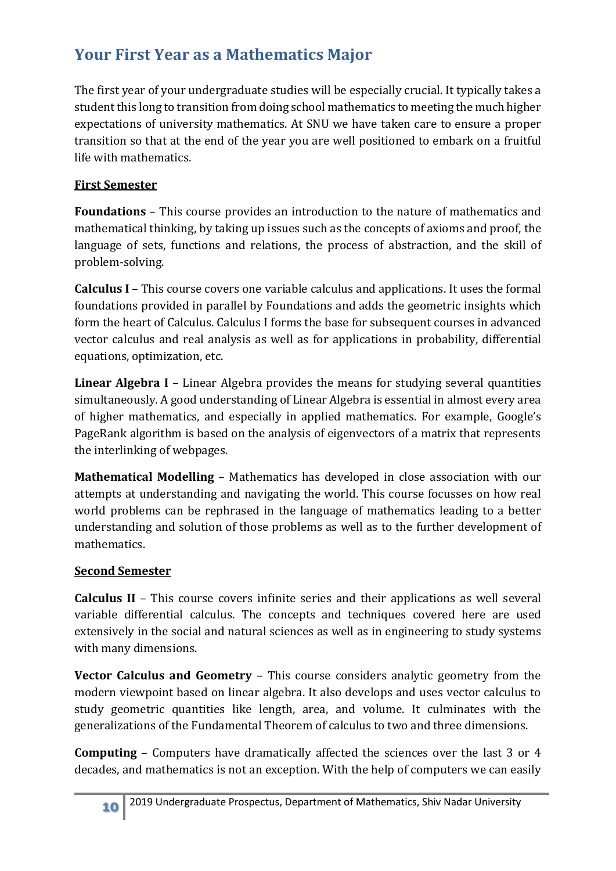## <span id="page-9-0"></span>**Your First Year as a Mathematics Major**

The first year of your undergraduate studies will be especially crucial. It typically takes a student this long to transition from doing school mathematics to meeting the much higher expectations of university mathematics. At SNU we have taken care to ensure a proper transition so that at the end of the year you are well positioned to embark on a fruitful life with mathematics.

#### **First Semester**

**Foundations** – This course provides an introduction to the nature of mathematics and mathematical thinking, by taking up issues such as the concepts of axioms and proof, the language of sets, functions and relations, the process of abstraction, and the skill of problem-solving.

**Calculus I** – This course covers one variable calculus and applications. It uses the formal foundations provided in parallel by Foundations and adds the geometric insights which form the heart of Calculus. Calculus I forms the base for subsequent courses in advanced vector calculus and real analysis as well as for applications in probability, differential equations, optimization, etc.

**Linear Algebra I** – Linear Algebra provides the means for studying several quantities simultaneously. A good understanding of Linear Algebra is essential in almost every area of higher mathematics, and especially in applied mathematics. For example, Google's PageRank algorithm is based on the analysis of eigenvectors of a matrix that represents the interlinking of webpages.

**Mathematical Modelling** – Mathematics has developed in close association with our attempts at understanding and navigating the world. This course focusses on how real world problems can be rephrased in the language of mathematics leading to a better understanding and solution of those problems as well as to the further development of mathematics.

#### **Second Semester**

**Calculus II** – This course covers infinite series and their applications as well several variable differential calculus. The concepts and techniques covered here are used extensively in the social and natural sciences as well as in engineering to study systems with many dimensions.

**Vector Calculus and Geometry** – This course considers analytic geometry from the modern viewpoint based on linear algebra. It also develops and uses vector calculus to study geometric quantities like length, area, and volume. It culminates with the generalizations of the Fundamental Theorem of calculus to two and three dimensions.

**Computing** – Computers have dramatically affected the sciences over the last 3 or 4 decades, and mathematics is not an exception. With the help of computers we can easily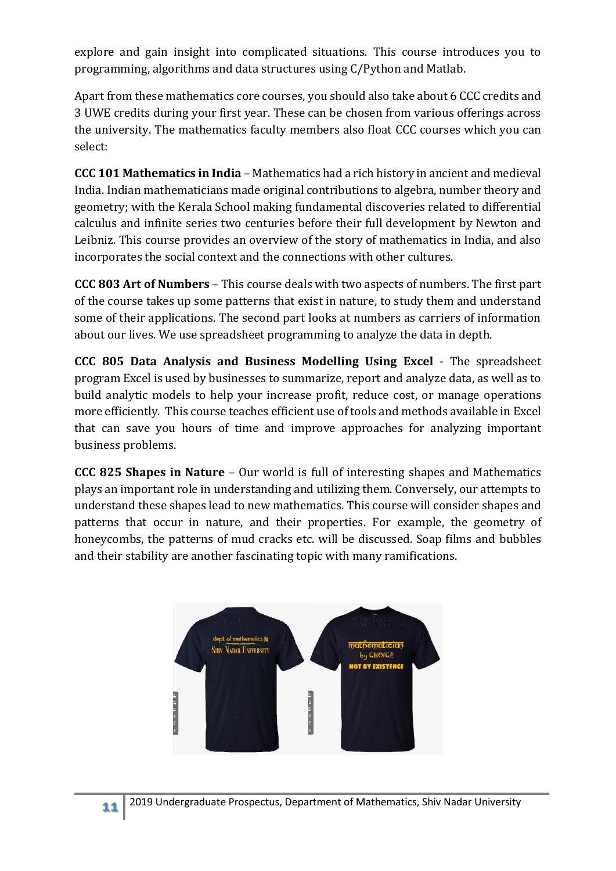explore and gain insight into complicated situations. This course introduces you to programming, algorithms and data structures using C/Python and Matlab.

Apart from these mathematics core courses, you should also take about 6 CCC credits and 3 UWE credits during your first year. These can be chosen from various offerings across the university. The mathematics faculty members also float CCC courses which you can select:

**CCC 101 Mathematics in India** – Mathematics had a rich history in ancient and medieval India. Indian mathematicians made original contributions to algebra, number theory and geometry; with the Kerala School making fundamental discoveries related to differential calculus and infinite series two centuries before their full development by Newton and Leibniz. This course provides an overview of the story of mathematics in India, and also incorporates the social context and the connections with other cultures.

**CCC 803 Art of Numbers** – This course deals with two aspects of numbers. The first part of the course takes up some patterns that exist in nature, to study them and understand some of their applications. The second part looks at numbers as carriers of information about our lives. We use spreadsheet programming to analyze the data in depth.

**CCC 805 Data Analysis and Business Modelling Using Excel** - The spreadsheet program Excel is used by businesses to summarize, report and analyze data, as well as to build analytic models to help your increase profit, reduce cost, or manage operations more efficiently. This course teaches efficient use of tools and methods available in Excel that can save you hours of time and improve approaches for analyzing important business problems.

**CCC 825 Shapes in Nature** – Our world is full of interesting shapes and Mathematics plays an important role in understanding and utilizing them. Conversely, our attempts to understand these shapes lead to new mathematics. This course will consider shapes and patterns that occur in nature, and their properties. For example, the geometry of honeycombs, the patterns of mud cracks etc. will be discussed. Soap films and bubbles and their stability are another fascinating topic with many ramifications.

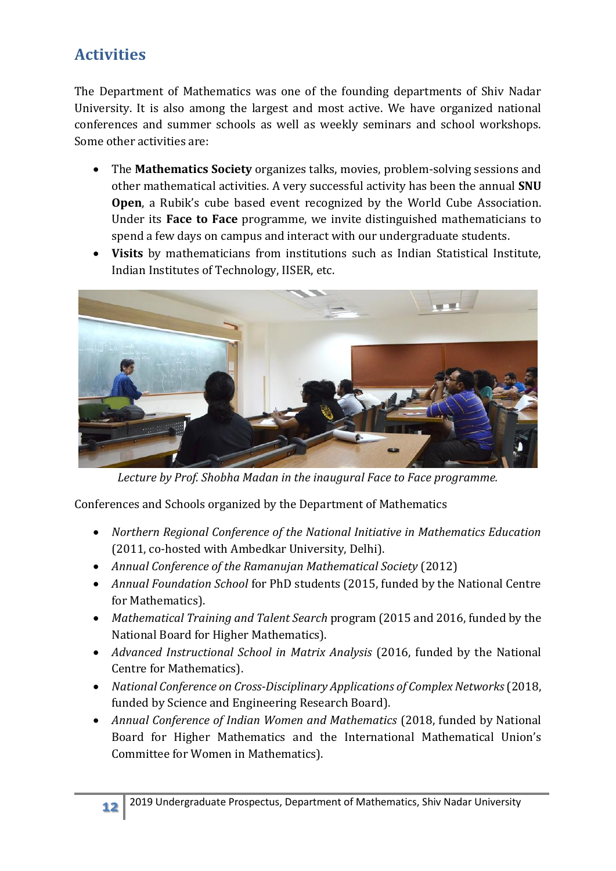## <span id="page-11-0"></span>**Activities**

The Department of Mathematics was one of the founding departments of Shiv Nadar University. It is also among the largest and most active. We have organized national conferences and summer schools as well as weekly seminars and school workshops. Some other activities are:

- The **Mathematics Society** organizes talks, movies, problem-solving sessions and other mathematical activities. A very successful activity has been the annual **SNU Open**, a Rubik's cube based event recognized by the World Cube Association. Under its **Face to Face** programme, we invite distinguished mathematicians to spend a few days on campus and interact with our undergraduate students.
- **Visits** by mathematicians from institutions such as Indian Statistical Institute, Indian Institutes of Technology, IISER, etc.



*Lecture by Prof. Shobha Madan in the inaugural Face to Face programme.*

Conferences and Schools organized by the Department of Mathematics

- *Northern Regional Conference of the National Initiative in Mathematics Education* (2011, co-hosted with Ambedkar University, Delhi).
- *Annual Conference of the Ramanujan Mathematical Society* (2012)
- *Annual Foundation School* for PhD students (2015, funded by the National Centre for Mathematics).
- *Mathematical Training and Talent Search* program (2015 and 2016, funded by the National Board for Higher Mathematics).
- *Advanced Instructional School in Matrix Analysis* (2016, funded by the National Centre for Mathematics).
- *National Conference on Cross-Disciplinary Applications of Complex Networks*(2018, funded by Science and Engineering Research Board).
- *Annual Conference of Indian Women and Mathematics* (2018, funded by National Board for Higher Mathematics and the International Mathematical Union's Committee for Women in Mathematics).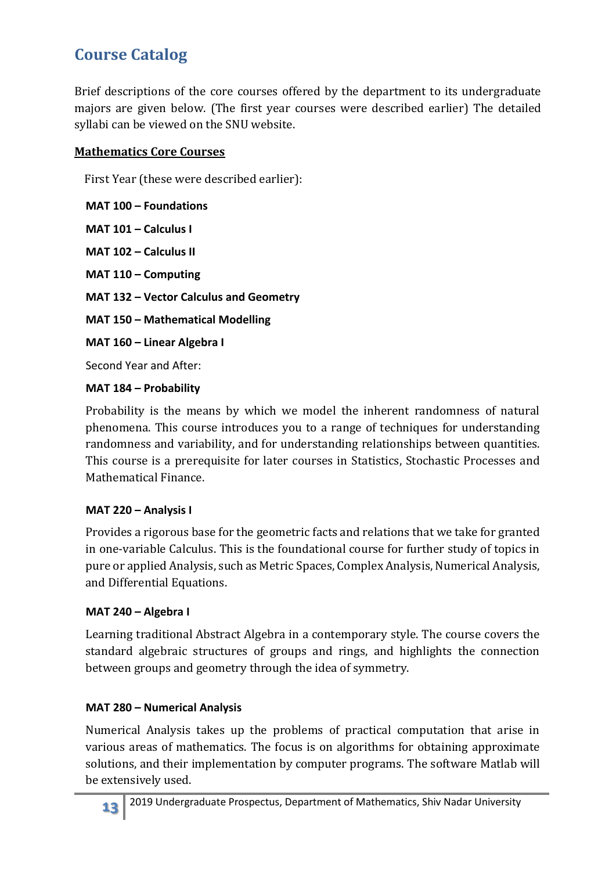## <span id="page-12-0"></span>**Course Catalog**

Brief descriptions of the core courses offered by the department to its undergraduate majors are given below. (The first year courses were described earlier) The detailed syllabi can be viewed on the SNU website.

#### **Mathematics Core Courses**

First Year (these were described earlier):

**MAT 100 – Foundations MAT 101 – Calculus I**

**MAT 102 – Calculus II**

**MAT 110 – Computing**

**MAT 132 – Vector Calculus and Geometry**

**MAT 150 – Mathematical Modelling**

**MAT 160 – Linear Algebra I**

Second Year and After:

#### **MAT 184 – Probability**

Probability is the means by which we model the inherent randomness of natural phenomena. This course introduces you to a range of techniques for understanding randomness and variability, and for understanding relationships between quantities. This course is a prerequisite for later courses in Statistics, Stochastic Processes and Mathematical Finance.

#### **MAT 220 – Analysis I**

Provides a rigorous base for the geometric facts and relations that we take for granted in one-variable Calculus. This is the foundational course for further study of topics in pure or applied Analysis, such as Metric Spaces, Complex Analysis, Numerical Analysis, and Differential Equations.

#### **MAT 240 – Algebra I**

Learning traditional Abstract Algebra in a contemporary style. The course covers the standard algebraic structures of groups and rings, and highlights the connection between groups and geometry through the idea of symmetry.

#### **MAT 280 – Numerical Analysis**

Numerical Analysis takes up the problems of practical computation that arise in various areas of mathematics. The focus is on algorithms for obtaining approximate solutions, and their implementation by computer programs. The software Matlab will be extensively used.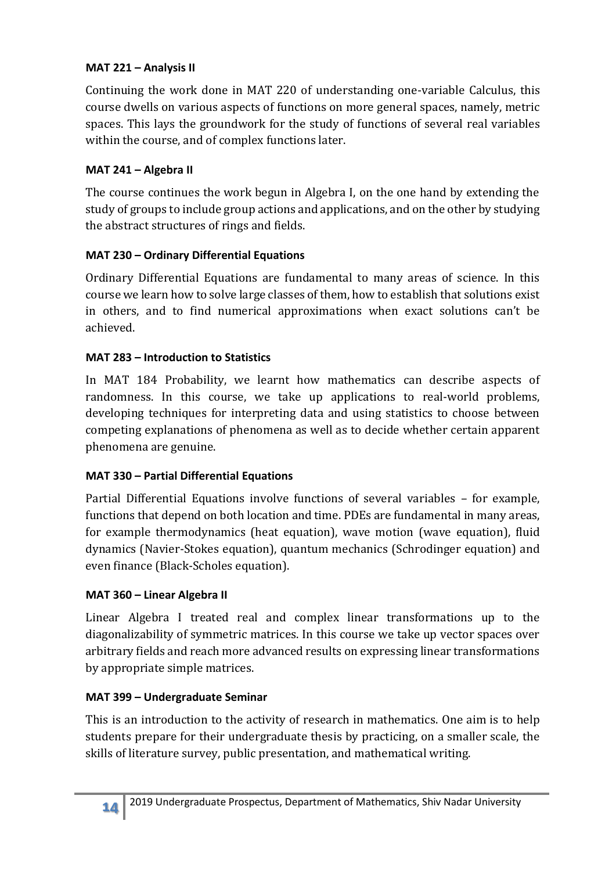#### **MAT 221 – Analysis II**

Continuing the work done in MAT 220 of understanding one-variable Calculus, this course dwells on various aspects of functions on more general spaces, namely, metric spaces. This lays the groundwork for the study of functions of several real variables within the course, and of complex functions later.

#### **MAT 241 – Algebra II**

The course continues the work begun in Algebra I, on the one hand by extending the study of groups to include group actions and applications, and on the other by studying the abstract structures of rings and fields.

#### **MAT 230 – Ordinary Differential Equations**

Ordinary Differential Equations are fundamental to many areas of science. In this course we learn how to solve large classes of them, how to establish that solutions exist in others, and to find numerical approximations when exact solutions can't be achieved.

#### **MAT 283 – Introduction to Statistics**

In MAT 184 Probability, we learnt how mathematics can describe aspects of randomness. In this course, we take up applications to real-world problems, developing techniques for interpreting data and using statistics to choose between competing explanations of phenomena as well as to decide whether certain apparent phenomena are genuine.

#### **MAT 330 – Partial Differential Equations**

Partial Differential Equations involve functions of several variables – for example, functions that depend on both location and time. PDEs are fundamental in many areas, for example thermodynamics (heat equation), wave motion (wave equation), fluid dynamics (Navier-Stokes equation), quantum mechanics (Schrodinger equation) and even finance (Black-Scholes equation).

#### **MAT 360 – Linear Algebra II**

Linear Algebra I treated real and complex linear transformations up to the diagonalizability of symmetric matrices. In this course we take up vector spaces over arbitrary fields and reach more advanced results on expressing linear transformations by appropriate simple matrices.

#### **MAT 399 – Undergraduate Seminar**

This is an introduction to the activity of research in mathematics. One aim is to help students prepare for their undergraduate thesis by practicing, on a smaller scale, the skills of literature survey, public presentation, and mathematical writing.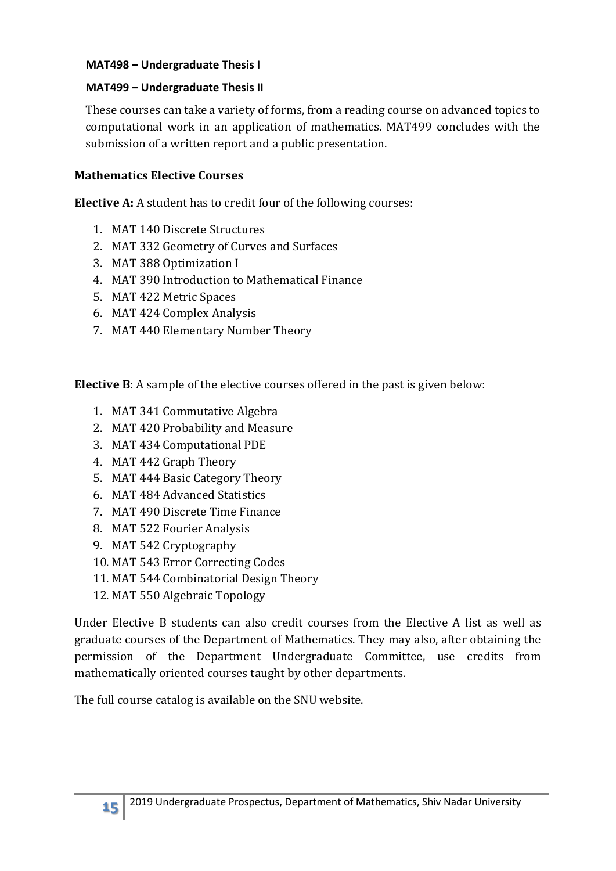#### **MAT498 – Undergraduate Thesis I**

#### **MAT499 – Undergraduate Thesis II**

These courses can take a variety of forms, from a reading course on advanced topics to computational work in an application of mathematics. MAT499 concludes with the submission of a written report and a public presentation.

#### **Mathematics Elective Courses**

**Elective A:** A student has to credit four of the following courses:

- 1. MAT 140 Discrete Structures
- 2. MAT 332 Geometry of Curves and Surfaces
- 3. MAT 388 Optimization I
- 4. MAT 390 Introduction to Mathematical Finance
- 5. MAT 422 Metric Spaces
- 6. MAT 424 Complex Analysis
- 7. MAT 440 Elementary Number Theory

**Elective B**: A sample of the elective courses offered in the past is given below:

- 1. MAT 341 Commutative Algebra
- 2. MAT 420 Probability and Measure
- 3. MAT 434 Computational PDE
- 4. MAT 442 Graph Theory
- 5. MAT 444 Basic Category Theory
- 6. MAT 484 Advanced Statistics
- 7. MAT 490 Discrete Time Finance
- 8. MAT 522 Fourier Analysis
- 9. MAT 542 Cryptography
- 10. MAT 543 Error Correcting Codes
- 11. MAT 544 Combinatorial Design Theory
- 12. MAT 550 Algebraic Topology

Under Elective B students can also credit courses from the Elective A list as well as graduate courses of the Department of Mathematics. They may also, after obtaining the permission of the Department Undergraduate Committee, use credits from mathematically oriented courses taught by other departments.

The full course catalog is available on the SNU website.